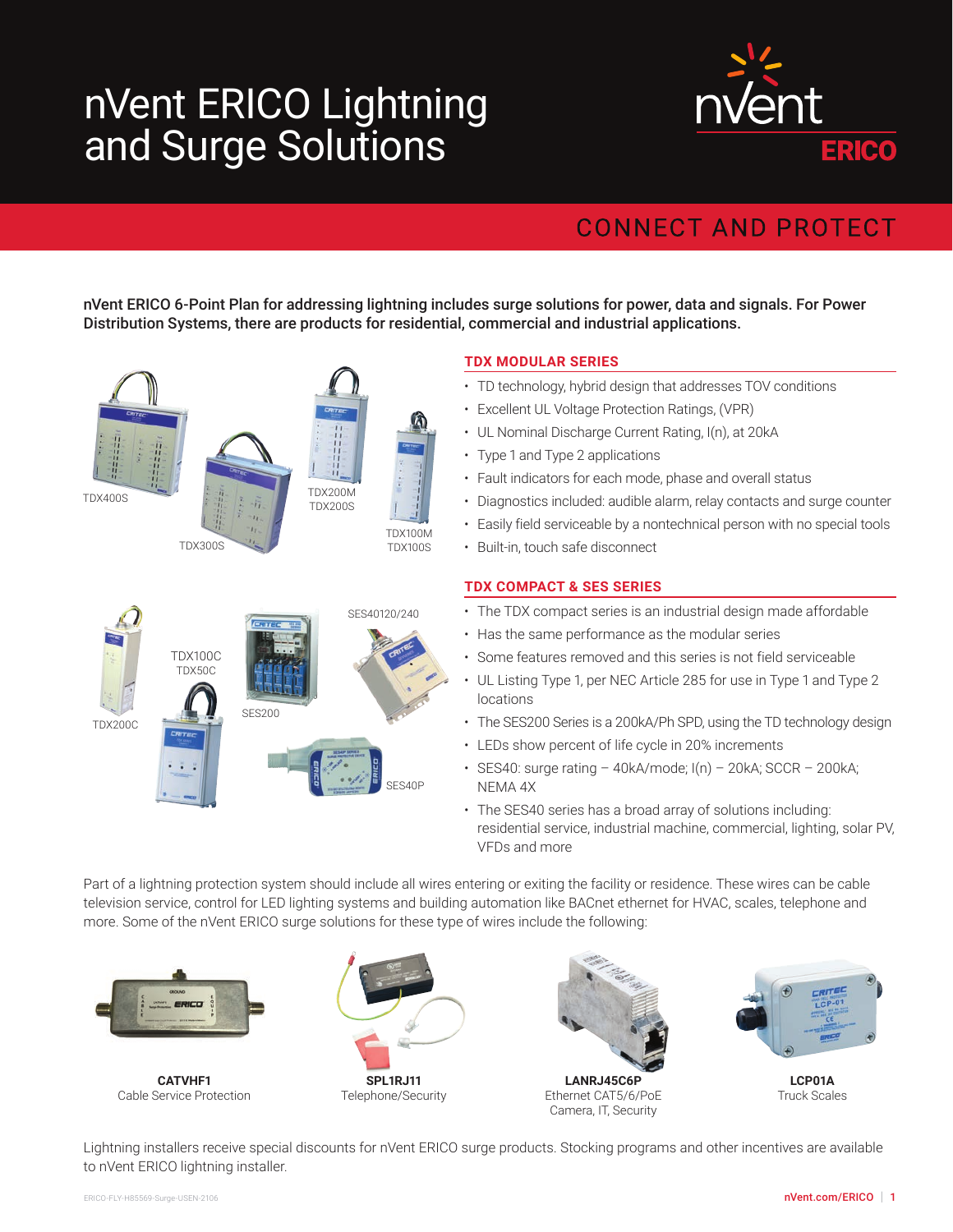## nVent ERICO Lightning and Surge Solutions



## **CONNECT AND PROTECT**

nVent ERICO 6-Point Plan for addressing lightning includes surge solutions for power, data and signals. For Power Distribution Systems, there are products for residential, commercial and industrial applications.



## **TDX MODULAR SERIES**

- TD technology, hybrid design that addresses TOV conditions
- Excellent UL Voltage Protection Ratings, (VPR)
- UL Nominal Discharge Current Rating, I(n), at 20kA
- Type 1 and Type 2 applications
- Fault indicators for each mode, phase and overall status
- Diagnostics included: audible alarm, relay contacts and surge counter
- Easily field serviceable by a nontechnical person with no special tools
- Built-in, touch safe disconnect

## **TDX COMPACT & SES SERIES**

- The TDX compact series is an industrial design made affordable
- Has the same performance as the modular series
- Some features removed and this series is not field serviceable
- UL Listing Type 1, per NEC Article 285 for use in Type 1 and Type 2 locations
- The SES200 Series is a 200kA/Ph SPD, using the TD technology design
- LEDs show percent of life cycle in 20% increments
- $\cdot$  SES40: surge rating 40kA/mode;  $I(n)$  20kA; SCCR 200kA; NEMA 4X
- The SES40 series has a broad array of solutions including: residential service, industrial machine, commercial, lighting, solar PV, VFDs and more

Part of a lightning protection system should include all wires entering or exiting the facility or residence. These wires can be cable television service, control for LED lighting systems and building automation like BACnet ethernet for HVAC, scales, telephone and more. Some of the nVent ERICO surge solutions for these type of wires include the following:



**CATVHF1** Cable Service Protection





**LANRJ45C6P** Ethernet CAT5/6/PoE Camera, IT, Security



**LCP01A** Truck Scales

Lightning installers receive special discounts for nVent ERICO surge products. Stocking programs and other incentives are available to nVent ERICO lightning installer.